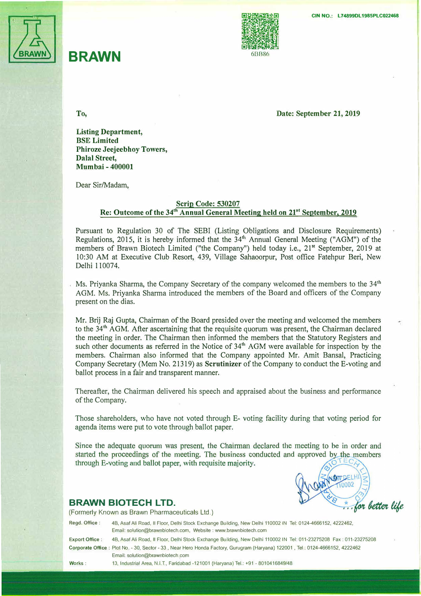

## **BRAWN 6BB86**





**To, Date: September 21, 2019** 

**Listing Department, BSE Limited Phiroze Jeejeebhoy Towers, Dalal Street, Mumbai- 400001** 

Dear Sir/Madam,

## **Scrip Code: 530207 Re: Outcome of the 34th Annual General Meeting held on 2r<sup>1</sup>September, 2019**

Pursuant to Regulation 30 of The SEBI (Listing Obligations and Disclosure Requirements) Regulations, 2015, it is hereby informed that the  $34<sup>th</sup>$  Annual General Meeting ("AGM") of the members of Brawn Biotech Limited ("the Company") held today i.e., 21**st** September, 2019 at 10:30 AM at Executive Club Resort, 439, Village Sahaoorpur, Post office Fatehpur Beri, New Delhi 110074.

Ms. Priyanka Sharma, the Company Secretary of the company welcomed the members to the 34**th**  AGM. Ms. Priyanka Sharma introduced the members of the Board and officers of the· Company present on the dias.

Mr. Brij Raj Gupta, Chairman of the Board presided over the meeting and welcomed the members to the 34**<sup>t</sup><sup>h</sup>**AGM. After ascertaining that the requisite quorum was present, the Chairman declared the meeting in order. The Chairman then informed the members that the Statutory Registers and such other documents as referred in the Notice of 34<sup>th</sup> AGM were available for inspection by the members. Chairman also informed that the Company appointed Mr. Amit Bansal, Practicing Company Secretary (Mem No.21319) as **Scrutinizer** of the Company to conduct the E-voting and ballot process in a fair and transparent manner.

Thereafter, the Chairman delivered his speech and appraised about the business and performance of the Company.

Those shareholders, who have not voted through E- voting facility during that voting period for agenda items were put to vote through ballot paper.

Since the adequate quorum was present, the Chairman declared the meeting to be in order and started the proceedings of the meeting. The business conducted and approved by the members through E-voting and ballot paper, with requisite majority.



## **BRAWN BIOTECH LTD.**

(Formerly Known as Brawn Pharmaceuticals Ltd.)

**Regd. Office** : 48, Asaf Ali Road, II Floor, Delhi Stock Exchange Building, New Delhi 110002 IN Tel: 0124-4666152, 4222462, Email: solution@brawnbiotech.com, Website : www.brawnbiotech.com

**Export Office:** 48, Asaf Ali Road, II Floor, Delhi Stock Exchange Building, New Delhi 110002 IN Tel: 011-23275208 Fax: 011-23275208 **Corporate Office:** Plot No. - 30, Sector - 33, Near Hero Honda Factory, Gurugram (Haryana) 122001 , Tel : 0124-4666152, 4222462 Email: solution@brawnbiotech.com \_

**Works:** 13, Industrial Area, N.I.T., Faridabad -121001 (Haryana) Tel.: +91 - 8010416849/48